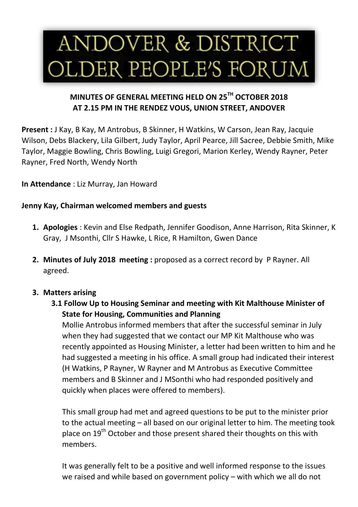# ANDOVER & DISTRICT OLDER PEOPLE'S FORUM

# **MINUTES OF GENERAL MEETING HELD ON 25TH OCTOBER 2018 AT 2.15 PM IN THE RENDEZ VOUS, UNION STREET, ANDOVER**

**Present :** J Kay, B Kay, M Antrobus, B Skinner, H Watkins, W Carson, Jean Ray, Jacquie Wilson, Debs Blackery, Lila Gilbert, Judy Taylor, April Pearce, Jill Sacree, Debbie Smith, Mike Taylor, Maggie Bowling, Chris Bowling, Luigi Gregori, Marion Kerley, Wendy Rayner, Peter Rayner, Fred North, Wendy North

**In Attendance** : Liz Murray, Jan Howard

## **Jenny Kay, Chairman welcomed members and guests**

- **1. Apologies** : Kevin and Else Redpath, Jennifer Goodison, Anne Harrison, Rita Skinner, K Gray, J Msonthi, Cllr S Hawke, L Rice, R Hamilton, Gwen Dance
- **2. Minutes of July 2018 meeting :** proposed as a correct record by P Rayner. All agreed.

# **3. Matters arising**

**3.1 Follow Up to Housing Seminar and meeting with Kit Malthouse Minister of State for Housing, Communities and Planning**

Mollie Antrobus informed members that after the successful seminar in July when they had suggested that we contact our MP Kit Malthouse who was recently appointed as Housing Minister, a letter had been written to him and he had suggested a meeting in his office. A small group had indicated their interest (H Watkins, P Rayner, W Rayner and M Antrobus as Executive Committee members and B Skinner and J MSonthi who had responded positively and quickly when places were offered to members).

This small group had met and agreed questions to be put to the minister prior to the actual meeting – all based on our original letter to him. The meeting took place on 19<sup>th</sup> October and those present shared their thoughts on this with members.

It was generally felt to be a positive and well informed response to the issues we raised and while based on government policy – with which we all do not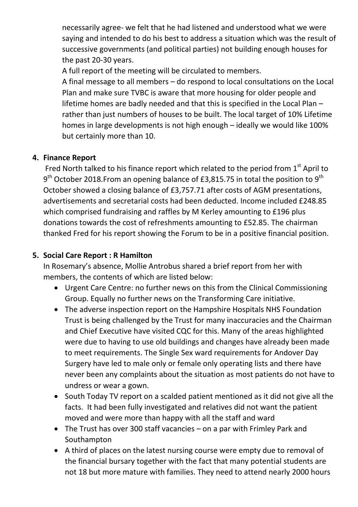necessarily agree- we felt that he had listened and understood what we were saying and intended to do his best to address a situation which was the result of successive governments (and political parties) not building enough houses for the past 20-30 years.

A full report of the meeting will be circulated to members.

A final message to all members – do respond to local consultations on the Local Plan and make sure TVBC is aware that more housing for older people and lifetime homes are badly needed and that this is specified in the Local Plan – rather than just numbers of houses to be built. The local target of 10% Lifetime homes in large developments is not high enough – ideally we would like 100% but certainly more than 10.

# **4. Finance Report**

Fred North talked to his finance report which related to the period from  $1<sup>st</sup>$  April to  $9<sup>th</sup>$  October 2018.From an opening balance of £3,815.75 in total the position to  $9<sup>th</sup>$ October showed a closing balance of £3,757.71 after costs of AGM presentations, advertisements and secretarial costs had been deducted. Income included £248.85 which comprised fundraising and raffles by M Kerley amounting to £196 plus donations towards the cost of refreshments amounting to £52.85. The chairman thanked Fred for his report showing the Forum to be in a positive financial position.

# **5. Social Care Report : R Hamilton**

In Rosemary's absence, Mollie Antrobus shared a brief report from her with members, the contents of which are listed below:

- Urgent Care Centre: no further news on this from the Clinical Commissioning Group. Equally no further news on the Transforming Care initiative.
- The adverse inspection report on the Hampshire Hospitals NHS Foundation Trust is being challenged by the Trust for many inaccuracies and the Chairman and Chief Executive have visited CQC for this. Many of the areas highlighted were due to having to use old buildings and changes have already been made to meet requirements. The Single Sex ward requirements for Andover Day Surgery have led to male only or female only operating lists and there have never been any complaints about the situation as most patients do not have to undress or wear a gown.
- South Today TV report on a scalded patient mentioned as it did not give all the facts. It had been fully investigated and relatives did not want the patient moved and were more than happy with all the staff and ward
- The Trust has over 300 staff vacancies on a par with Frimley Park and Southampton
- A third of places on the latest nursing course were empty due to removal of the financial bursary together with the fact that many potential students are not 18 but more mature with families. They need to attend nearly 2000 hours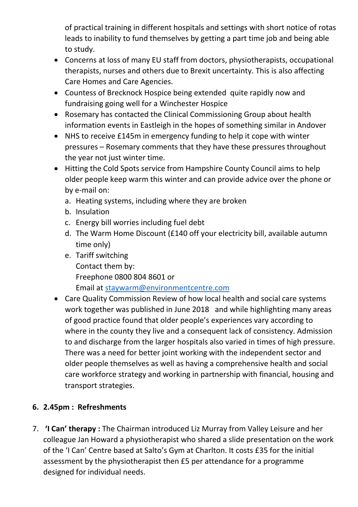of practical training in different hospitals and settings with short notice of rotas leads to inability to fund themselves by getting a part time job and being able to study.

- Concerns at loss of many EU staff from doctors, physiotherapists, occupational therapists, nurses and others due to Brexit uncertainty. This is also affecting Care Homes and Care Agencies.
- Countess of Brecknock Hospice being extended quite rapidly now and fundraising going well for a Winchester Hospice
- Rosemary has contacted the Clinical Commissioning Group about health information events in Eastleigh in the hopes of something similar in Andover
- NHS to receive £145m in emergency funding to help it cope with winter pressures – Rosemary comments that they have these pressures throughout the year not just winter time.
- Hitting the Cold Spots service from Hampshire County Council aims to help older people keep warm this winter and can provide advice over the phone or by e-mail on:
	- a. Heating systems, including where they are broken
	- b. Insulation
	- c. Energy bill worries including fuel debt
	- d. The Warm Home Discount (£140 off your electricity bill, available autumn time only)
	- e. Tariff switching Contact them by: Freephone 0800 804 8601 or Email at [staywarm@environmentcentre.com](mailto:staywarm@environmentcentre.com)
- Care Quality Commission Review of how local health and social care systems work together was published in June 2018 and while highlighting many areas of good practice found that older people's experiences vary according to where in the county they live and a consequent lack of consistency. Admission to and discharge from the larger hospitals also varied in times of high pressure. There was a need for better joint working with the independent sector and older people themselves as well as having a comprehensive health and social care workforce strategy and working in partnership with financial, housing and transport strategies.

# **6. 2.45pm : Refreshments**

7. **'I Can' therapy :** The Chairman introduced Liz Murray from Valley Leisure and her colleague Jan Howard a physiotherapist who shared a slide presentation on the work of the 'I Can' Centre based at Salto's Gym at Charlton. It costs £35 for the initial assessment by the physiotherapist then £5 per attendance for a programme designed for individual needs.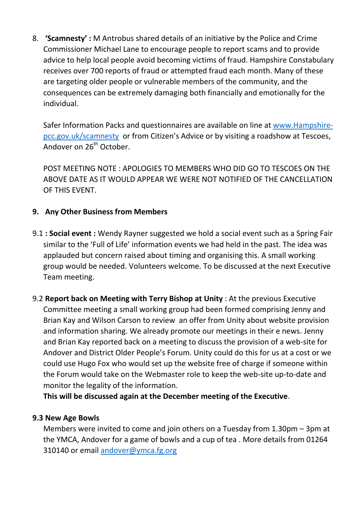8. **'Scamnesty' :** M Antrobus shared details of an initiative by the Police and Crime Commissioner Michael Lane to encourage people to report scams and to provide advice to help local people avoid becoming victims of fraud. Hampshire Constabulary receives over 700 reports of fraud or attempted fraud each month. Many of these are targeting older people or vulnerable members of the community, and the consequences can be extremely damaging both financially and emotionally for the individual.

Safer Information Packs and questionnaires are available on line at [www.Hampshire](http://www.hampshire-pcc.gov.uk/scamnesty)[pcc.gov.uk/scamnesty](http://www.hampshire-pcc.gov.uk/scamnesty) or from Citizen's Advice or by visiting a roadshow at Tescoes, Andover on 26<sup>th</sup> October.

POST MEETING NOTE : APOLOGIES TO MEMBERS WHO DID GO TO TESCOES ON THE ABOVE DATE AS IT WOULD APPEAR WE WERE NOT NOTIFIED OF THE CANCELLATION OF THIS EVENT.

## **9. Any Other Business from Members**

- 9.1 **: Social event :** Wendy Rayner suggested we hold a social event such as a Spring Fair similar to the 'Full of Life' information events we had held in the past. The idea was applauded but concern raised about timing and organising this. A small working group would be needed. Volunteers welcome. To be discussed at the next Executive Team meeting.
- 9.2 **Report back on Meeting with Terry Bishop at Unity** : At the previous Executive Committee meeting a small working group had been formed comprising Jenny and Brian Kay and Wilson Carson to review an offer from Unity about website provision and information sharing. We already promote our meetings in their e news. Jenny and Brian Kay reported back on a meeting to discuss the provision of a web-site for Andover and District Older People's Forum. Unity could do this for us at a cost or we could use Hugo Fox who would set up the website free of charge if someone within the Forum would take on the Webmaster role to keep the web-site up-to-date and monitor the legality of the information.

**This will be discussed again at the December meeting of the Executive**.

### **9.3 New Age Bowls**

Members were invited to come and join others on a Tuesday from 1.30pm – 3pm at the YMCA, Andover for a game of bowls and a cup of tea . More details from 01264 310140 or email [andover@ymca.fg.org](mailto:andover@ymca.fg.org)